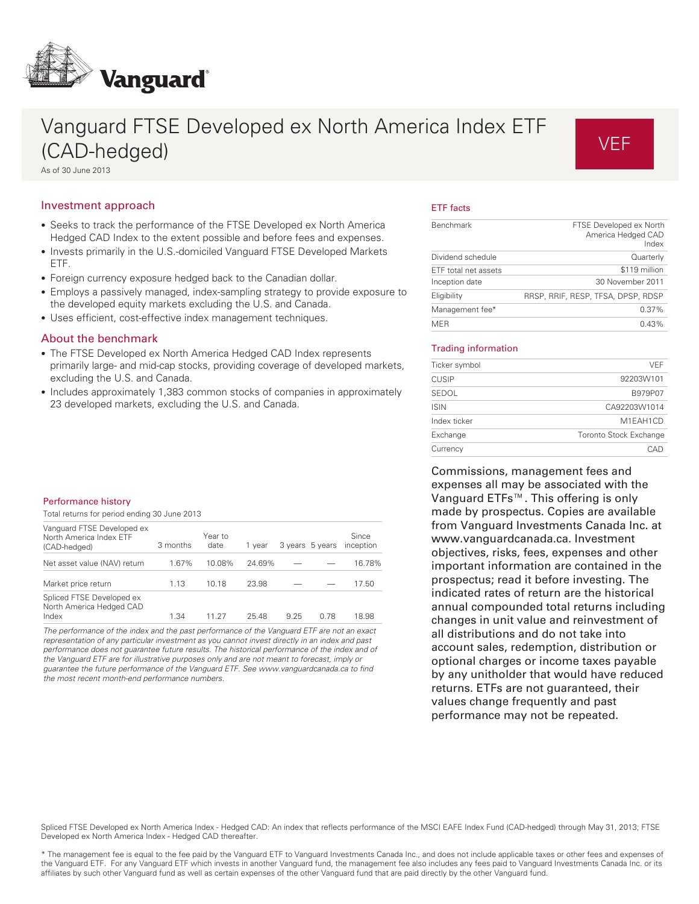

# Vanguard FTSE Developed ex North America Index ETF (CAD-hedged) As of 30 June 2013

# VEF

# Investment approach

- Seeks to track the performance of the FTSE Developed ex North America Hedged CAD Index to the extent possible and before fees and expenses.
- Invests primarily in the U.S.-domiciled Vanguard FTSE Developed Markets ETF.
- Foreign currency exposure hedged back to the Canadian dollar.
- Employs a passively managed, index-sampling strategy to provide exposure to the developed equity markets excluding the U.S. and Canada.
- Uses efficient, cost-effective index management techniques.

# About the benchmark

- The FTSE Developed ex North America Hedged CAD Index represents primarily large- and mid-cap stocks, providing coverage of developed markets, excluding the U.S. and Canada.
- Includes approximately 1,383 common stocks of companies in approximately 23 developed markets, excluding the U.S. and Canada.

# ETF facts

| <b>Benchmark</b>     | FTSE Developed ex North<br>America Hedged CAD<br>Index |
|----------------------|--------------------------------------------------------|
| Dividend schedule    | Quarterly                                              |
| ETF total net assets | \$119 million                                          |
| Inception date       | 30 November 2011                                       |
| Eligibility          | RRSP, RRIF, RESP, TFSA, DPSP, RDSP                     |
| Management fee*      | 0.37%                                                  |
| <b>MER</b>           | 0.43%                                                  |

#### Trading information

| Ticker symbol | <b>VEF</b>             |
|---------------|------------------------|
| <b>CUSIP</b>  | 92203W101              |
| SEDOL         | B979P07                |
| <b>ISIN</b>   | CA92203W1014           |
| Index ticker  | M1EAH1CD               |
| Exchange      | Toronto Stock Exchange |
| Currency      | CAD                    |
|               |                        |

Commissions, management fees and expenses all may be associated with the Vanguard ETFs™. This offering is only made by prospectus. Copies are available from Vanguard Investments Canada Inc. at www.vanguardcanada.ca. Investment objectives, risks, fees, expenses and other important information are contained in the prospectus; read it before investing. The indicated rates of return are the historical annual compounded total returns including changes in unit value and reinvestment of all distributions and do not take into account sales, redemption, distribution or optional charges or income taxes payable by any unitholder that would have reduced returns. ETFs are not guaranteed, their values change frequently and past performance may not be repeated.

#### Performance history

Total returns for period ending 30 June 2013

| Vanguard FTSE Developed ex<br>North America Index ETF<br>(CAD-hedged) | 3 months | Year to<br>date | 1 vear |      | 3 years 5 years | Since<br>inception |
|-----------------------------------------------------------------------|----------|-----------------|--------|------|-----------------|--------------------|
| Net asset value (NAV) return                                          | 1.67%    | 10.08%          | 24.69% |      |                 | 16.78%             |
| Market price return                                                   | 1.13     | 10.18           | 23.98  |      |                 | 17.50              |
| Spliced FTSE Developed ex<br>North America Hedged CAD<br>Index        | 1.34     | 11.27           | 25.48  | 9.25 | 0.78            | 18.98              |

The performance of the index and the past performance of the Vanguard ETF are not an exact representation of any particular investment as you cannot invest directly in an index and past performance does not guarantee future results. The historical performance of the index and of the Vanguard ETF are for illustrative purposes only and are not meant to forecast, imply or guarantee the future performance of the Vanguard ETF. See www.vanguardcanada.ca to find the most recent month-end performance numbers.

Spliced FTSE Developed ex North America Index - Hedged CAD: An index that reflects performance of the MSCI EAFE Index Fund (CAD-hedged) through May 31, 2013; FTSE Developed ex North America Index - Hedged CAD thereafter.

\* The management fee is equal to the fee paid by the Vanguard ETF to Vanguard Investments Canada Inc., and does not include applicable taxes or other fees and expenses of the Vanguard ETF. For any Vanguard ETF which invests in another Vanguard fund, the management fee also includes any fees paid to Vanguard Investments Canada Inc. or its affiliates by such other Vanguard fund as well as certain expenses of the other Vanguard fund that are paid directly by the other Vanguard fund.